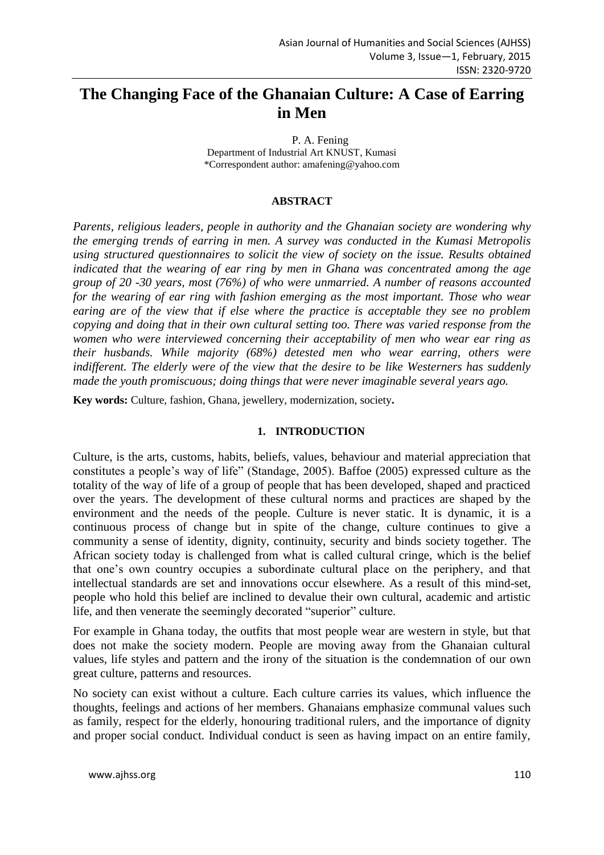# **The Changing Face of the Ghanaian Culture: A Case of Earring in Men**

P. A. Fening Department of Industrial Art KNUST, Kumasi \*Correspondent author: amafening@yahoo.com

#### **ABSTRACT**

*Parents, religious leaders, people in authority and the Ghanaian society are wondering why the emerging trends of earring in men. A survey was conducted in the Kumasi Metropolis using structured questionnaires to solicit the view of society on the issue. Results obtained indicated that the wearing of ear ring by men in Ghana was concentrated among the age group of 20 -30 years, most (76%) of who were unmarried. A number of reasons accounted for the wearing of ear ring with fashion emerging as the most important. Those who wear earing are of the view that if else where the practice is acceptable they see no problem copying and doing that in their own cultural setting too. There was varied response from the women who were interviewed concerning their acceptability of men who wear ear ring as their husbands. While majority (68%) detested men who wear earring, others were indifferent. The elderly were of the view that the desire to be like Westerners has suddenly made the youth promiscuous; doing things that were never imaginable several years ago.* 

**Key words:** Culture, fashion, Ghana, jewellery, modernization, society**.**

#### **1. INTRODUCTION**

Culture, is the arts, customs, habits, beliefs, values, behaviour and material appreciation that constitutes a people's way of life" (Standage, 2005). Baffoe (2005) expressed culture as the totality of the way of life of a group of people that has been developed, shaped and practiced over the years. The development of these cultural norms and practices are shaped by the environment and the needs of the people. Culture is never static. It is dynamic, it is a continuous process of change but in spite of the change, culture continues to give a community a sense of identity, dignity, continuity, security and binds society together. The African society today is challenged from what is called cultural cringe, which is the belief that one's own country occupies a subordinate cultural place on the periphery, and that intellectual standards are set and innovations occur elsewhere. As a result of this mind-set, people who hold this belief are inclined to devalue their own cultural, academic and artistic life, and then venerate the seemingly decorated "superior" culture.

For example in Ghana today, the outfits that most people wear are western in style, but that does not make the society modern. People are moving away from the Ghanaian cultural values, life styles and pattern and the irony of the situation is the condemnation of our own great culture, patterns and resources.

No society can exist without a culture. Each culture carries its values, which influence the thoughts, feelings and actions of her members. Ghanaians emphasize communal values such as family, respect for the elderly, honouring traditional rulers, and the importance of dignity and proper social conduct. Individual conduct is seen as having impact on an entire family,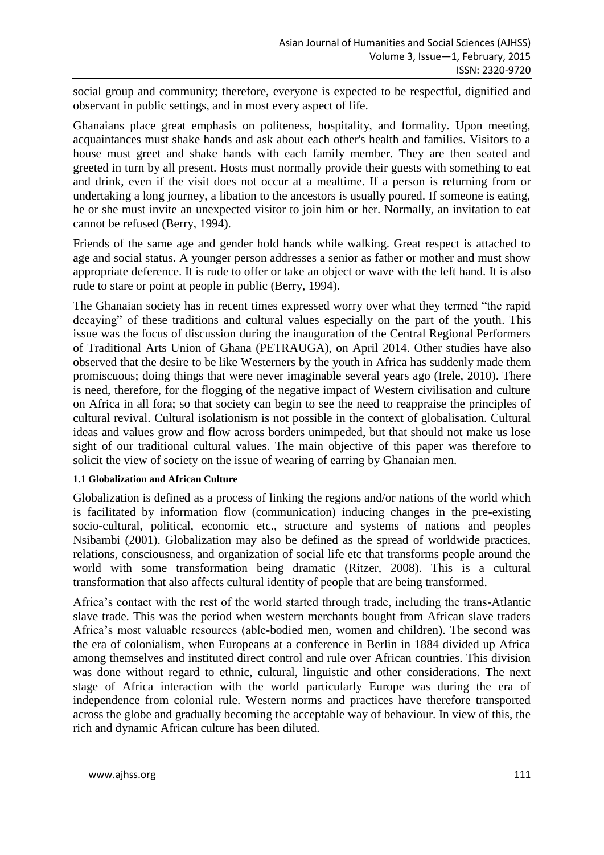social group and community; therefore, everyone is expected to be respectful, dignified and observant in public settings, and in most every aspect of life.

Ghanaians place great emphasis on politeness, hospitality, and formality. Upon meeting, acquaintances must shake hands and ask about each other's health and families. Visitors to a house must greet and shake hands with each family member. They are then seated and greeted in turn by all present. Hosts must normally provide their guests with something to eat and drink, even if the visit does not occur at a mealtime. If a person is returning from or undertaking a long journey, a libation to the ancestors is usually poured. If someone is eating, he or she must invite an unexpected visitor to join him or her. Normally, an invitation to eat cannot be refused (Berry, 1994).

Friends of the same age and gender hold hands while walking. Great respect is attached to age and social status. A younger person addresses a senior as father or mother and must show appropriate deference. It is rude to offer or take an object or wave with the left hand. It is also rude to stare or point at people in public (Berry, 1994).

The Ghanaian society has in recent times expressed worry over what they termed "the rapid decaying" of these traditions and cultural values especially on the part of the youth. This issue was the focus of discussion during the inauguration of the Central Regional Performers of Traditional Arts Union of Ghana (PETRAUGA), on April 2014. Other studies have also observed that the desire to be like Westerners by the youth in Africa has suddenly made them promiscuous; doing things that were never imaginable several years ago (Irele, 2010). There is need, therefore, for the flogging of the negative impact of Western civilisation and culture on Africa in all fora; so that society can begin to see the need to reappraise the principles of cultural revival. Cultural isolationism is not possible in the context of globalisation. Cultural ideas and values grow and flow across borders unimpeded, but that should not make us lose sight of our traditional cultural values. The main objective of this paper was therefore to solicit the view of society on the issue of wearing of earring by Ghanaian men.

#### **1.1 Globalization and African Culture**

Globalization is defined as a process of linking the regions and/or nations of the world which is facilitated by information flow (communication) inducing changes in the pre-existing socio-cultural, political, economic etc., structure and systems of nations and peoples Nsibambi (2001). Globalization may also be defined as the spread of worldwide practices, relations, consciousness, and organization of social life etc that transforms people around the world with some transformation being dramatic (Ritzer, 2008). This is a cultural transformation that also affects cultural identity of people that are being transformed.

Africa's contact with the rest of the world started through trade, including the trans-Atlantic slave trade. This was the period when western merchants bought from African slave traders Africa's most valuable resources (able-bodied men, women and children). The second was the era of colonialism, when Europeans at a conference in Berlin in 1884 divided up Africa among themselves and instituted direct control and rule over African countries. This division was done without regard to ethnic, cultural, linguistic and other considerations. The next stage of Africa interaction with the world particularly Europe was during the era of independence from colonial rule. Western norms and practices have therefore transported across the globe and gradually becoming the acceptable way of behaviour. In view of this, the rich and dynamic African culture has been diluted.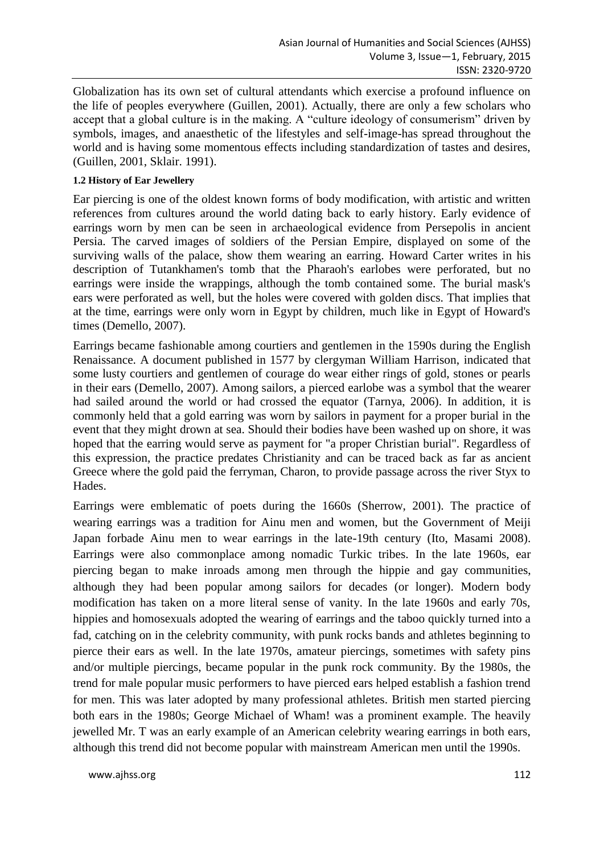Globalization has its own set of cultural attendants which exercise a profound influence on the life of peoples everywhere (Guillen, 2001). Actually, there are only a few scholars who accept that a global culture is in the making. A "culture ideology of consumerism" driven by symbols, images, and anaesthetic of the lifestyles and self-image-has spread throughout the world and is having some momentous effects including standardization of tastes and desires, (Guillen, 2001, Sklair. 1991).

## **1.2 History of Ear Jewellery**

Ear piercing is one of the oldest known forms of body modification, with artistic and written references from cultures around the world dating back to early history. Early evidence of earrings worn by men can be seen in archaeological evidence from Persepolis in ancient Persia. The carved images of soldiers of the Persian Empire, displayed on some of the surviving walls of the palace, show them wearing an earring. Howard Carter writes in his description of Tutankhamen's tomb that the Pharaoh's earlobes were perforated, but no earrings were inside the wrappings, although the tomb contained some. The burial mask's ears were perforated as well, but the holes were covered with golden discs. That implies that at the time, earrings were only worn in Egypt by children, much like in Egypt of Howard's times (Demello, 2007).

Earrings became fashionable among courtiers and gentlemen in the 1590s during the English Renaissance. A document published in 1577 by clergyman William Harrison, indicated that some lusty courtiers and gentlemen of courage do wear either rings of gold, stones or pearls in their ears (Demello, 2007). Among sailors, a pierced earlobe was a symbol that the wearer had sailed around the world or had crossed the equator (Tarnya, 2006). In addition, it is commonly held that a gold earring was worn by sailors in payment for a proper burial in the event that they might drown at sea. Should their bodies have been washed up on shore, it was hoped that the earring would serve as payment for "a proper Christian burial". Regardless of this expression, the practice predates Christianity and can be traced back as far as ancient Greece where the gold paid the ferryman, Charon, to provide passage across the river Styx to Hades.

Earrings were emblematic of poets during the 1660s (Sherrow, 2001). The practice of wearing earrings was a tradition for Ainu men and women, but the Government of Meiji Japan forbade Ainu men to wear earrings in the late-19th century (Ito, Masami 2008). Earrings were also commonplace among nomadic Turkic tribes. In the late 1960s, ear piercing began to make inroads among men through the hippie and gay communities, although they had been popular among sailors for decades (or longer). Modern body modification has taken on a more literal sense of vanity. In the late 1960s and early 70s, hippies and homosexuals adopted the wearing of earrings and the taboo quickly turned into a fad, catching on in the celebrity community, with punk rocks bands and athletes beginning to pierce their ears as well. In the late 1970s, amateur piercings, sometimes with safety pins and/or multiple piercings, became popular in the punk rock community. By the 1980s, the trend for male popular music performers to have pierced ears helped establish a fashion trend for men. This was later adopted by many professional athletes. British men started piercing both ears in the 1980s; George Michael of Wham! was a prominent example. The heavily jewelled Mr. T was an early example of an American celebrity wearing earrings in both ears, although this trend did not become popular with mainstream American men until the 1990s.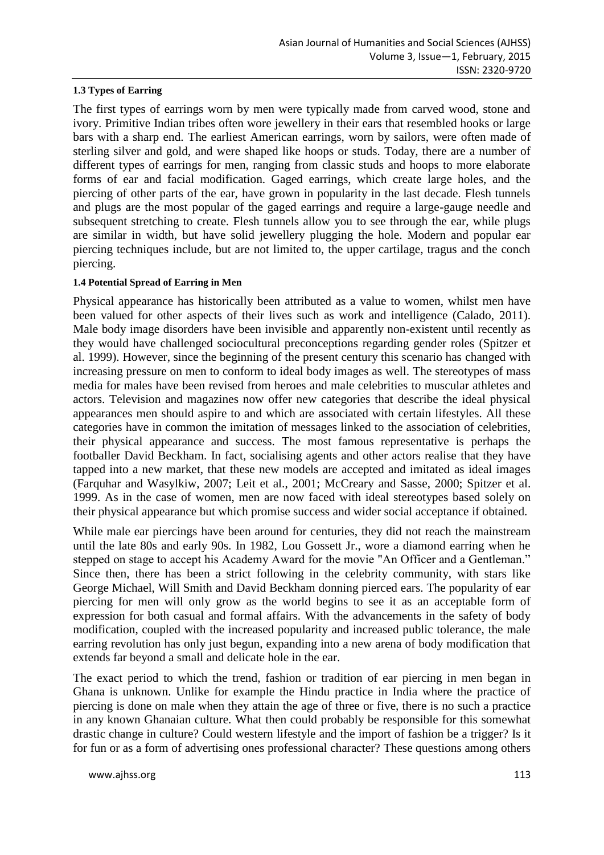### **1.3 Types of Earring**

The first types of earrings worn by men were typically made from carved wood, stone and ivory. Primitive Indian tribes often wore jewellery in their ears that resembled hooks or large bars with a sharp end. The earliest American earrings, worn by sailors, were often made of sterling silver and gold, and were shaped like hoops or studs. Today, there are a number of different types of earrings for men, ranging from classic studs and hoops to more elaborate forms of ear and facial modification. Gaged earrings, which create large holes, and the piercing of other parts of the ear, have grown in popularity in the last decade. Flesh tunnels and plugs are the most popular of the gaged earrings and require a large-gauge needle and subsequent stretching to create. Flesh tunnels allow you to see through the ear, while plugs are similar in width, but have solid jewellery plugging the hole. Modern and popular ear piercing techniques include, but are not limited to, the upper cartilage, tragus and the conch piercing.

## **1.4 Potential Spread of Earring in Men**

Physical appearance has historically been attributed as a value to women, whilst men have been valued for other aspects of their lives such as work and intelligence (Calado, 2011). Male body image disorders have been invisible and apparently non-existent until recently as they would have challenged sociocultural preconceptions regarding gender roles (Spitzer et al. 1999). However, since the beginning of the present century this scenario has changed with increasing pressure on men to conform to ideal body images as well. The stereotypes of mass media for males have been revised from heroes and male celebrities to muscular athletes and actors. Television and magazines now offer new categories that describe the ideal physical appearances men should aspire to and which are associated with certain lifestyles. All these categories have in common the imitation of messages linked to the association of celebrities, their physical appearance and success. The most famous representative is perhaps the footballer David Beckham. In fact, socialising agents and other actors realise that they have tapped into a new market, that these new models are accepted and imitated as ideal images (Farquhar and Wasylkiw, 2007; Leit et al., 2001; McCreary and Sasse, 2000; Spitzer et al. 1999. As in the case of women, men are now faced with ideal stereotypes based solely on their physical appearance but which promise success and wider social acceptance if obtained.

While male ear piercings have been around for centuries, they did not reach the mainstream until the late 80s and early 90s. In 1982, Lou Gossett Jr., wore a diamond earring when he stepped on stage to accept his Academy Award for the movie "An Officer and a Gentleman." Since then, there has been a strict following in the celebrity community, with stars like George Michael, Will Smith and David Beckham donning pierced ears. The popularity of ear piercing for men will only grow as the world begins to see it as an acceptable form of expression for both casual and formal affairs. With the advancements in the safety of body modification, coupled with the increased popularity and increased public tolerance, the male earring revolution has only just begun, expanding into a new arena of body modification that extends far beyond a small and delicate hole in the ear.

The exact period to which the trend, fashion or tradition of ear piercing in men began in Ghana is unknown. Unlike for example the Hindu practice in India where the practice of piercing is done on male when they attain the age of three or five, there is no such a practice in any known Ghanaian culture. What then could probably be responsible for this somewhat drastic change in culture? Could western lifestyle and the import of fashion be a trigger? Is it for fun or as a form of advertising ones professional character? These questions among others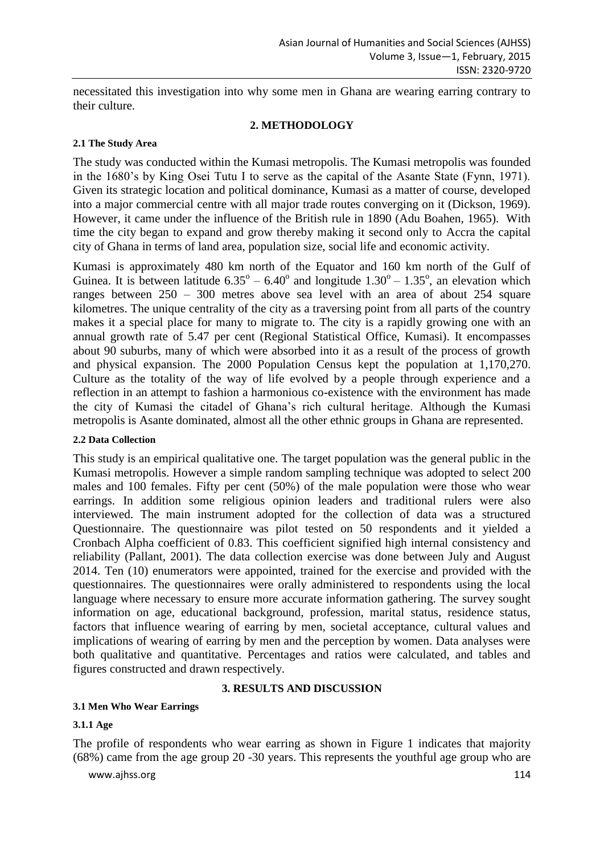necessitated this investigation into why some men in Ghana are wearing earring contrary to their culture.

## **2. METHODOLOGY**

## **2.1 The Study Area**

The study was conducted within the Kumasi metropolis. The Kumasi metropolis was founded in the 1680's by King Osei Tutu I to serve as the capital of the Asante State (Fynn, 1971). Given its strategic location and political dominance, Kumasi as a matter of course, developed into a major commercial centre with all major trade routes converging on it (Dickson, 1969). However, it came under the influence of the British rule in 1890 (Adu Boahen, 1965). With time the city began to expand and grow thereby making it second only to Accra the capital city of Ghana in terms of land area, population size, social life and economic activity.

Kumasi is approximately 480 km north of the Equator and 160 km north of the Gulf of Guinea. It is between latitude  $6.35^{\circ} - 6.40^{\circ}$  and longitude  $1.30^{\circ} - 1.35^{\circ}$ , an elevation which ranges between 250 – 300 metres above sea level with an area of about 254 square kilometres. The unique centrality of the city as a traversing point from all parts of the country makes it a special place for many to migrate to. The city is a rapidly growing one with an annual growth rate of 5.47 per cent (Regional Statistical Office, Kumasi). It encompasses about 90 suburbs, many of which were absorbed into it as a result of the process of growth and physical expansion. The 2000 Population Census kept the population at 1,170,270. Culture as the totality of the way of life evolved by a people through experience and a reflection in an attempt to fashion a harmonious co-existence with the environment has made the city of Kumasi the citadel of Ghana's rich cultural heritage. Although the Kumasi metropolis is Asante dominated, almost all the other ethnic groups in Ghana are represented.

#### **2.2 Data Collection**

This study is an empirical qualitative one. The target population was the general public in the Kumasi metropolis. However a simple random sampling technique was adopted to select 200 males and 100 females. Fifty per cent (50%) of the male population were those who wear earrings. In addition some religious opinion leaders and traditional rulers were also interviewed. The main instrument adopted for the collection of data was a structured Questionnaire. The questionnaire was pilot tested on 50 respondents and it yielded a Cronbach Alpha coefficient of 0.83. This coefficient signified high internal consistency and reliability (Pallant, 2001). The data collection exercise was done between July and August 2014. Ten (10) enumerators were appointed, trained for the exercise and provided with the questionnaires. The questionnaires were orally administered to respondents using the local language where necessary to ensure more accurate information gathering. The survey sought information on age, educational background, profession, marital status, residence status, factors that influence wearing of earring by men, societal acceptance, cultural values and implications of wearing of earring by men and the perception by women. Data analyses were both qualitative and quantitative. Percentages and ratios were calculated, and tables and figures constructed and drawn respectively.

## **3. RESULTS AND DISCUSSION**

#### **3.1 Men Who Wear Earrings**

#### **3.1.1 Age**

The profile of respondents who wear earring as shown in Figure 1 indicates that majority (68%) came from the age group 20 -30 years. This represents the youthful age group who are

www.ajhss.org 114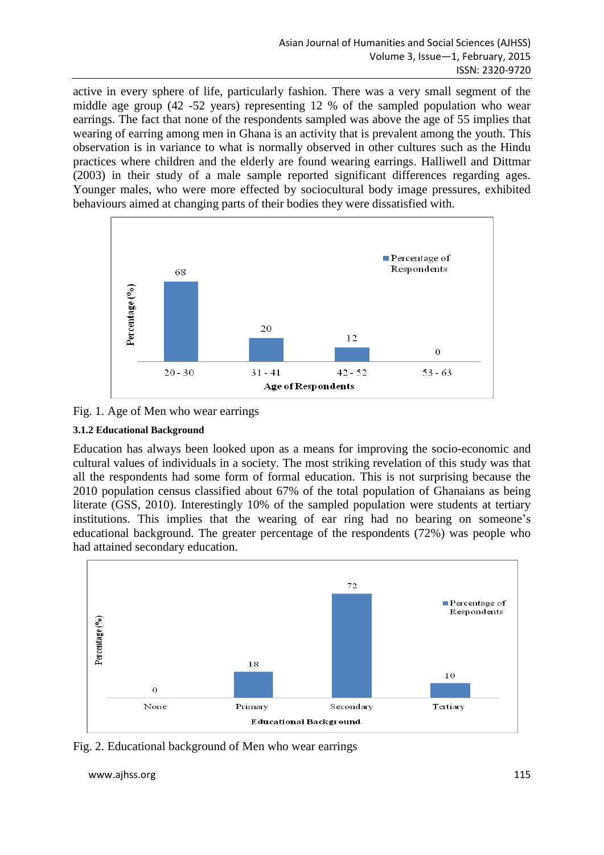active in every sphere of life, particularly fashion. There was a very small segment of the middle age group (42 -52 years) representing 12 % of the sampled population who wear earrings. The fact that none of the respondents sampled was above the age of 55 implies that wearing of earring among men in Ghana is an activity that is prevalent among the youth. This observation is in variance to what is normally observed in other cultures such as the Hindu practices where children and the elderly are found wearing earrings. Halliwell and Dittmar (2003) in their study of a male sample reported significant differences regarding ages. Younger males, who were more effected by sociocultural body image pressures, exhibited behaviours aimed at changing parts of their bodies they were dissatisfied with.



Fig. 1. Age of Men who wear earrings

## **3.1.2 Educational Background**

Education has always been looked upon as a means for improving the socio-economic and cultural values of individuals in a society. The most striking revelation of this study was that all the respondents had some form of formal education. This is not surprising because the 2010 population census classified about 67% of the total population of Ghanaians as being literate (GSS, 2010). Interestingly 10% of the sampled population were students at tertiary institutions. This implies that the wearing of ear ring had no bearing on someone's educational background. The greater percentage of the respondents (72%) was people who had attained secondary education.



Fig. 2. Educational background of Men who wear earrings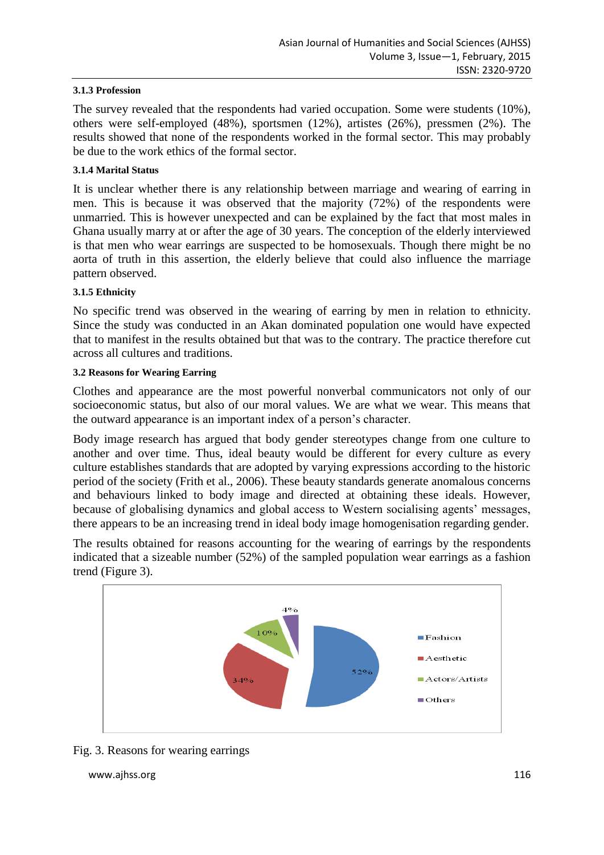## **3.1.3 Profession**

The survey revealed that the respondents had varied occupation. Some were students (10%), others were self-employed (48%), sportsmen (12%), artistes (26%), pressmen (2%). The results showed that none of the respondents worked in the formal sector. This may probably be due to the work ethics of the formal sector.

## **3.1.4 Marital Status**

It is unclear whether there is any relationship between marriage and wearing of earring in men. This is because it was observed that the majority (72%) of the respondents were unmarried. This is however unexpected and can be explained by the fact that most males in Ghana usually marry at or after the age of 30 years. The conception of the elderly interviewed is that men who wear earrings are suspected to be homosexuals. Though there might be no aorta of truth in this assertion, the elderly believe that could also influence the marriage pattern observed.

## **3.1.5 Ethnicity**

No specific trend was observed in the wearing of earring by men in relation to ethnicity. Since the study was conducted in an Akan dominated population one would have expected that to manifest in the results obtained but that was to the contrary. The practice therefore cut across all cultures and traditions.

## **3.2 Reasons for Wearing Earring**

Clothes and appearance are the most powerful nonverbal communicators not only of our socioeconomic status, but also of our moral values. We are what we wear. This means that the outward appearance is an important index of a person's character.

Body image research has argued that body gender stereotypes change from one culture to another and over time. Thus, ideal beauty would be different for every culture as every culture establishes standards that are adopted by varying expressions according to the historic period of the society (Frith et al., 2006). These beauty standards generate anomalous concerns and behaviours linked to body image and directed at obtaining these ideals. However, because of globalising dynamics and global access to Western socialising agents' messages, there appears to be an increasing trend in ideal body image homogenisation regarding gender.

The results obtained for reasons accounting for the wearing of earrings by the respondents indicated that a sizeable number (52%) of the sampled population wear earrings as a fashion trend (Figure 3).



Fig. 3. Reasons for wearing earrings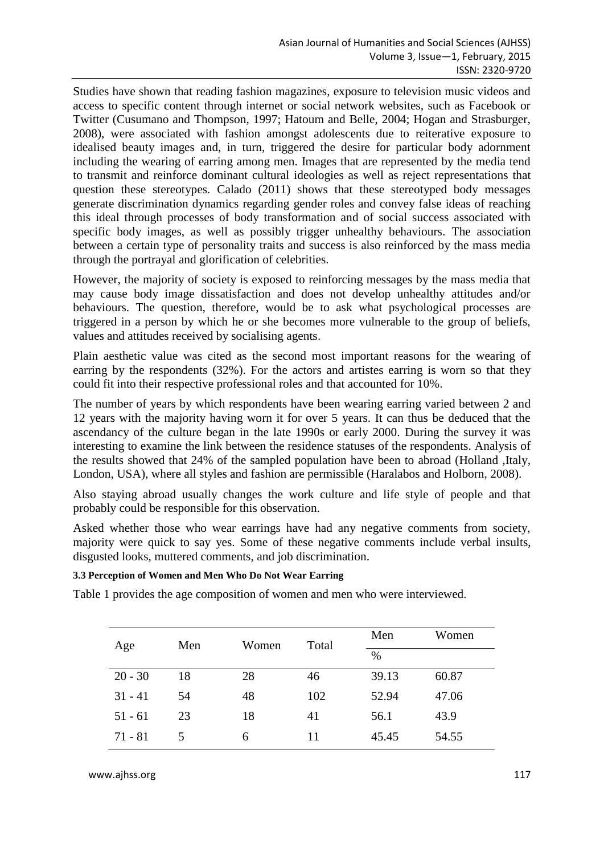Studies have shown that reading fashion magazines, exposure to television music videos and access to specific content through internet or social network websites, such as Facebook or Twitter (Cusumano and Thompson, 1997; Hatoum and Belle, 2004; Hogan and Strasburger, 2008), were associated with fashion amongst adolescents due to reiterative exposure to idealised beauty images and, in turn, triggered the desire for particular body adornment including the wearing of earring among men. Images that are represented by the media tend to transmit and reinforce dominant cultural ideologies as well as reject representations that question these stereotypes. Calado (2011) shows that these stereotyped body messages generate discrimination dynamics regarding gender roles and convey false ideas of reaching this ideal through processes of body transformation and of social success associated with specific body images, as well as possibly trigger unhealthy behaviours. The association between a certain type of personality traits and success is also reinforced by the mass media through the portrayal and glorification of celebrities.

However, the majority of society is exposed to reinforcing messages by the mass media that may cause body image dissatisfaction and does not develop unhealthy attitudes and/or behaviours. The question, therefore, would be to ask what psychological processes are triggered in a person by which he or she becomes more vulnerable to the group of beliefs, values and attitudes received by socialising agents.

Plain aesthetic value was cited as the second most important reasons for the wearing of earring by the respondents (32%). For the actors and artistes earring is worn so that they could fit into their respective professional roles and that accounted for 10%.

The number of years by which respondents have been wearing earring varied between 2 and 12 years with the majority having worn it for over 5 years. It can thus be deduced that the ascendancy of the culture began in the late 1990s or early 2000. During the survey it was interesting to examine the link between the residence statuses of the respondents. Analysis of the results showed that 24% of the sampled population have been to abroad (Holland ,Italy, London, USA), where all styles and fashion are permissible (Haralabos and Holborn, 2008).

Also staying abroad usually changes the work culture and life style of people and that probably could be responsible for this observation.

Asked whether those who wear earrings have had any negative comments from society, majority were quick to say yes. Some of these negative comments include verbal insults, disgusted looks, muttered comments, and job discrimination.

## **3.3 Perception of Women and Men Who Do Not Wear Earring**

Table 1 provides the age composition of women and men who were interviewed.

| Age       | Men | Women | Total | Men   | Women |
|-----------|-----|-------|-------|-------|-------|
|           |     |       |       | $\%$  |       |
| $20 - 30$ | 18  | 28    | 46    | 39.13 | 60.87 |
| $31 - 41$ | 54  | 48    | 102   | 52.94 | 47.06 |
| $51 - 61$ | 23  | 18    | 41    | 56.1  | 43.9  |
| $71 - 81$ | 5   | 6     | 11    | 45.45 | 54.55 |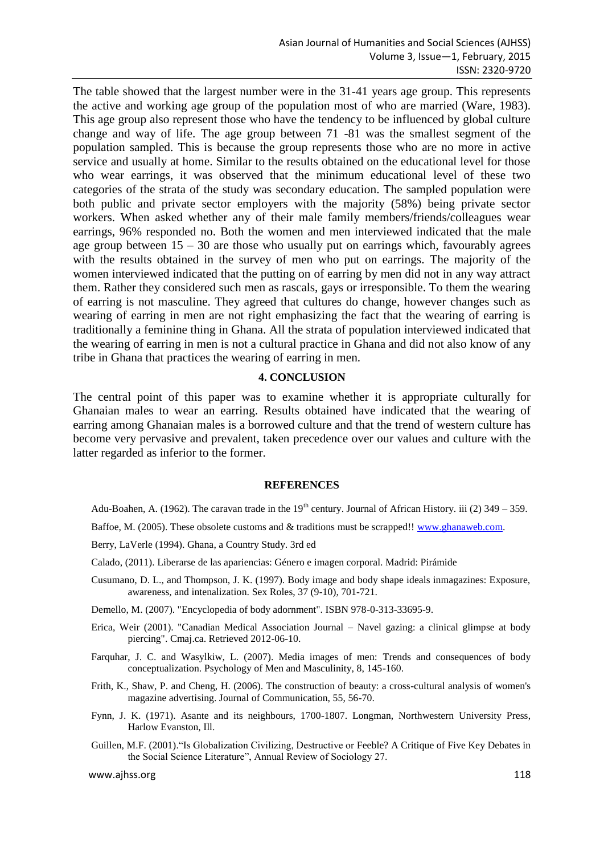The table showed that the largest number were in the 31-41 years age group. This represents the active and working age group of the population most of who are married (Ware, 1983). This age group also represent those who have the tendency to be influenced by global culture change and way of life. The age group between 71 -81 was the smallest segment of the population sampled. This is because the group represents those who are no more in active service and usually at home. Similar to the results obtained on the educational level for those who wear earrings, it was observed that the minimum educational level of these two categories of the strata of the study was secondary education. The sampled population were both public and private sector employers with the majority (58%) being private sector workers. When asked whether any of their male family members/friends/colleagues wear earrings, 96% responded no. Both the women and men interviewed indicated that the male age group between  $15 - 30$  are those who usually put on earrings which, favourably agrees with the results obtained in the survey of men who put on earrings. The majority of the women interviewed indicated that the putting on of earring by men did not in any way attract them. Rather they considered such men as rascals, gays or irresponsible. To them the wearing of earring is not masculine. They agreed that cultures do change, however changes such as wearing of earring in men are not right emphasizing the fact that the wearing of earring is traditionally a feminine thing in Ghana. All the strata of population interviewed indicated that the wearing of earring in men is not a cultural practice in Ghana and did not also know of any tribe in Ghana that practices the wearing of earring in men.

## **4. CONCLUSION**

The central point of this paper was to examine whether it is appropriate culturally for Ghanaian males to wear an earring. Results obtained have indicated that the wearing of earring among Ghanaian males is a borrowed culture and that the trend of western culture has become very pervasive and prevalent, taken precedence over our values and culture with the latter regarded as inferior to the former.

#### **REFERENCES**

- Adu-Boahen, A. (1962). The caravan trade in the  $19<sup>th</sup>$  century. Journal of African History. iii (2) 349 359.
- Baffoe, M. (2005). These obsolete customs and & traditions must be scrapped!! [www.ghanaweb.com.](http://www.ghanaweb.com/)
- Berry, LaVerle (1994). Ghana, a Country Study. 3rd ed
- Calado, (2011). Liberarse de las apariencias: Género e imagen corporal. Madrid: Pirámide
- Cusumano, D. L., and Thompson, J. K. (1997). Body image and body shape ideals inmagazines: Exposure, awareness, and intenalization. Sex Roles, 37 (9-10), 701-721.
- Demello, M. (2007). "Encyclopedia of body adornment". ISBN 978-0-313-33695-9.
- Erica, Weir (2001). "Canadian Medical Association Journal Navel gazing: a clinical glimpse at body piercing". Cmaj.ca. Retrieved 2012-06-10.
- Farquhar, J. C. and Wasylkiw, L. (2007). Media images of men: Trends and consequences of body conceptualization. Psychology of Men and Masculinity, 8, 145-160.
- Frith, K., Shaw, P. and Cheng, H. (2006). The construction of beauty: a cross-cultural analysis of women's magazine advertising. Journal of Communication, 55, 56-70.
- Fynn, J. K. (1971). Asante and its neighbours, 1700-1807. Longman, Northwestern University Press, Harlow Evanston, Ill.
- Guillen, M.F. (2001)."Is Globalization Civilizing, Destructive or Feeble? A Critique of Five Key Debates in the Social Science Literature", Annual Review of Sociology 27.